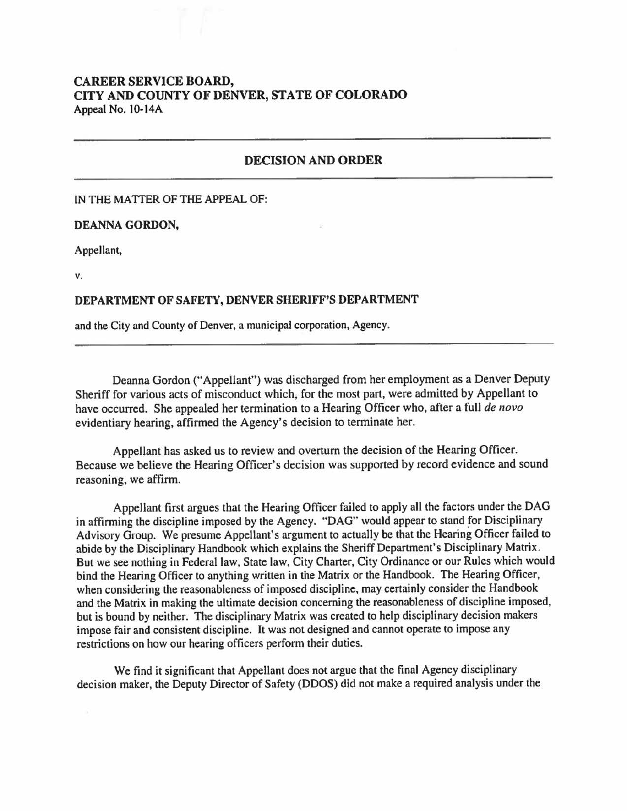# **CAREER SERVICE BOARD, CITY AND COUNTY OF DENVER, STATE OF COLORADO**  Appeal No. 10-14A

## **DECISION AND ORDER**

## IN THE MATTER OF THE APPEAL OF:

#### **DEANNA GORDON,**

Appellant,

**V.** 

## **DEPARTMENT OF SAFETY, DENVER SHERIFF'S DEPARTMENT**

and the City and County of Denver, a municipal corporation, Agency.

Deanna Gordon ("Appellant") was discharged from her employment as a Denver Deputy Sheriff for various acts of misconduct which, for the most part, were admitted by Appellant to have occurred. She appealed her termination to a Hearing Officer who, after a full *de novo*  evidentiary hearing, affirmed the Agency's decision to terminate her.

Appellant has asked us to review and overturn the decision of the Hearing Officer. Because we believe the Hearing Officer's decision was supported by record evidence and sound reasoning, we affirm.

Appellant first argues that the Hearing Officer failed to apply all the factors under the DAG in affirming the discipline imposed by the Agency. "DAG" would appear to stand for Disciplinary Advisory Group. We presume Appellant's argument to actually be that the Hearing Officer failed to abide by the Disciplinary Handbook which explains the Sheriff Department's Disciplinary Matrix. But we see nothing in Federal law, State law, City Charter, City Ordinance or our Rules which would bind the Hearing Officer to anything written in the Matrix or the Handbook. The Hearing Officer, when considering the reasonableness of imposed discipline, may certainly consider the Handbook and the Matrix in making the ultimate decision concerning the reasonableness of discipline imposed, but is bound by neither. The disciplinary Matrix was created to help disciplinary decision makers impose fair and consistent discipline. It was not designed and cannot operate to impose any restrictions on how our hearing officers perform their duties.

We find it significant that Appellant does not argue that the final Agency disciplinary decision maker, the Deputy Director of Safety (DDOS) did not make a required analysis under the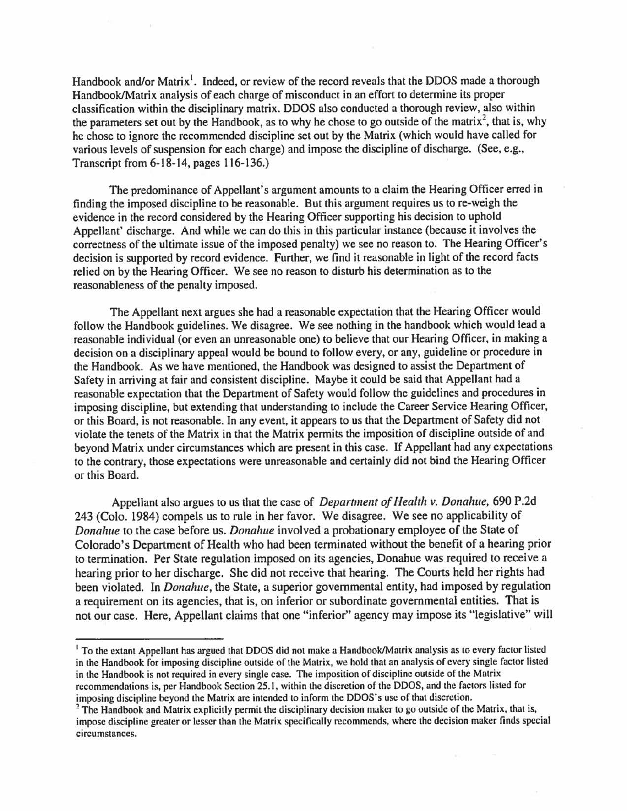Handbook and/or Matrix<sup>1</sup>. Indeed, or review of the record reveals that the DDOS made a thorough Handbook/Matrix analysis of each charge of misconduct in an effort to determine its proper classification within the disciplinary matrix. DDOS also conducted a thorough review, also within the parameters set out by the Handbook, as to why he chose to go outside of the matrix<sup>2</sup>, that is, why he chose to ignore the recommended discipline set out by the Matrix (which would have called for various levels of suspension for each charge) and impose the discipline of discharge. (See, e.g., Transcript from 6-18-14, pages 116-136.)

The predominance of Appellant's argument amounts to a claim the Hearing Officer erred in finding the imposed discipline to be reasonable. But this argument requires us to re-weigh the evidence in the record considered by the Hearing Officer supporting his decision to uphold Appellant' discharge. And while we can do this in this particular instance (because it involves the correctness of the ultimate issue of the imposed penalty) we see no reason to. The Hearing Officer's decision is supported by record evidence. Further, we find it reasonable in light of the record facts relied on by the Hearing Officer. We see no reason to disturb his determination as to the reasonableness of the penalty imposed.

The Appellant next argues she had a reasonable expectation that the Hearing Officer would follow the Handbook guidelines. We disagree. We see nothing in the handbook which would lead a reasonable individual (or even an unreasonable one) to believe that our Hearing Officer, in making a decision on a disciplinary appeal would be bound to follow every, or any, guideline or procedure in the Handbook. As we have mentioned, the Handbook was designed to assist the Department of Safety in arriving at fair and consistent discipline. Maybe it could be said that Appellant had a reasonable expectation that the Department of Safety would follow the guidelines and procedures in imposing discipline, but extending that understanding to include the Career Service Hearing Officer, or this Board, is not reasonable. In any event, it appears to us that the Department of Safety did not violate the tenets of the Matrix in that the Matrix permits the imposition of discipline outside of and beyond Matrix under circumstances which are present in this case. If Appellant had any expectations to the contrary, those expectations were unreasonable and certainly did not bind the Hearing Officer or this Board.

Appellant also argues to us that the case of *Department of Health v. Donahue,* 690 P.2d 243 (Colo. 1984) compels us to rule in her favor. We disagree. We see no applicability of *Donahue* to the case before us. *Donahue* involved a probationary employee of the State of Colorado's Department of Health who had been terminated without the benefit of a hearing prior to termination. Per State regulation imposed on its agencies, Donahue was required to receive a hearing prior to her discharge. She did not receive that hearing. The Courts held her rights had been violated. In *Donahue,* the State, a superior governmental entity, had imposed by regulation a requirement on its agencies, that is, on inferior or subordinate governmental entities. That is not our case. Here, Appellant claims that one "inferior" agency may impose its "legislative" will

<sup>&</sup>lt;sup>1</sup> To the extant Appellant has argued that DDOS did not make a Handbook/Matrix analysis as to every factor listed in the Handbook for imposing discipline outside of the Matrix, we hold that an analysis of every single factor listed in the Handbook is not required in every single case. The imposition of discipline outside of the Matrix recommendations is, per Handbook Section 25.1, within the discretion of the DDOS, and the factors listed for imposing discipline beyond the Matrix arc intended to inform the DDOS's use of that discretion.

<sup>&</sup>lt;sup>2</sup> The Handbook and Matrix explicitly permit the disciplinary decision maker to go outside of the Matrix, that is, impose discipline greater or lesser than the Matrix specifically recommends, where the decision maker finds special circumstances.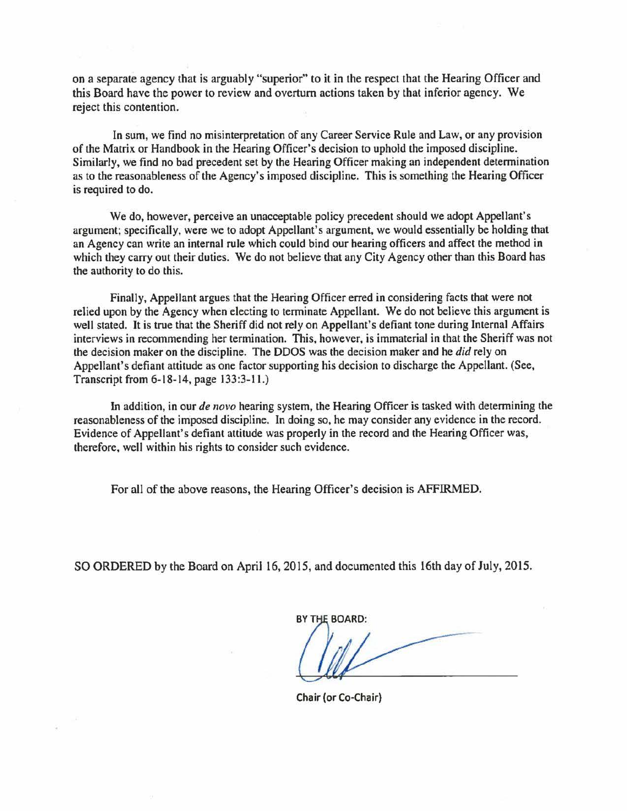on a separate agency that is arguably "superior" to it in the respect that the Hearing Officer and this Board have the power to review and overturn actions taken by that inferior agency. We reject this contention.

In sum, we find no misinterpretation of any Career Service Rule and Law, or any provision of the Matrix or Handbook in the Hearing Officer's decision to uphold the imposed discipline. Similarly, we find no bad precedent set by the Hearing Officer making an independent determination as to the reasonableness of the Agency's imposed discipline. This is something the Hearing Officer is required to do.

We do, however, perceive an unacceptable policy precedent should we adopt Appellant's argument; specifically, were we to adopt Appellant's argument, we would essentially be holding that an Agency can write an internal rule which could bind our hearing officers and affect the method in which they carry out their duties. We do not believe that any City Agency other than this Board has the authority to do this.

Finally, Appellant argues that the Hearing Officer erred in considering facts that were not relied upon by the Agency when electing to terminate Appellant. We do not believe this argument is well stated. It is true that the Sheriff did not rely on Appellant's defiant tone during Internal Affairs interviews in recommending her termination. This, however, is immaterial in that the Sheriff was not the decision maker on the discipline. The DDOS was the decision maker and he *did* rely on Appellant's defiant attitude as one factor supporting his decision to discharge the Appellant. (See, Transcript from 6-18-14, page 133:3-11.)

In addition, in our *de novo* hearing system, the Hearing Officer is tasked with determining the reasonableness of the imposed discipline. In doing so, he may consider any evidence in the record. Evidence of Appellant's defiant attitude was properly in the record and the Hearing Officer was, therefore, well within his rights to consider such evidence.

For all of the above reasons, the Hearing Officer's decision is AFFIRMED.

SO ORDERED by the Board on April 16, 2015, and documented this 16th day of July, 2015.

BY THE BOARD:

Chair (or Co-Chair)